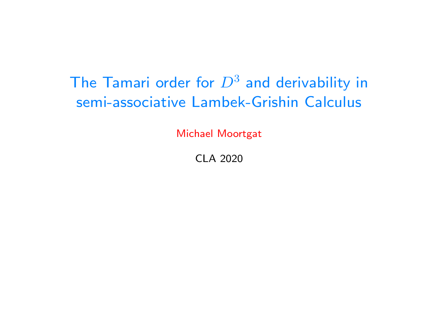# The Tamari order for  $D^3$  and derivability in semi-associative Lambek-Grishin Calculus

Michael Moortgat

CLA 2020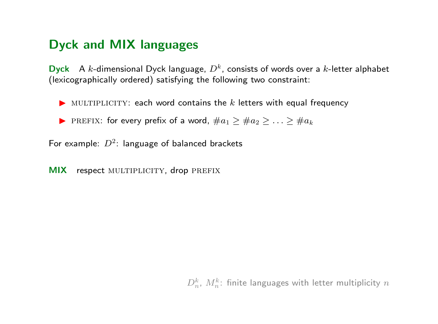### Dyck and MIX languages

**Dyck** A k-dimensional Dyck language,  $D<sup>k</sup>$ , consists of words over a k-letter alphabet (lexicographically ordered) satisfying the following two constraint:

- $\blacktriangleright$  MULTIPLICITY: each word contains the k letters with equal frequency
- ▶ PREFIX: for every prefix of a word,  $\#a_1 \geq \#a_2 \geq \ldots \geq \#a_k$

For example:  $D^2$ : language of balanced brackets

MIX respect MULTIPLICITY, drop PREFIX

 $D_n^k$ ,  $M_n^k$ : finite languages with letter multiplicity  $n$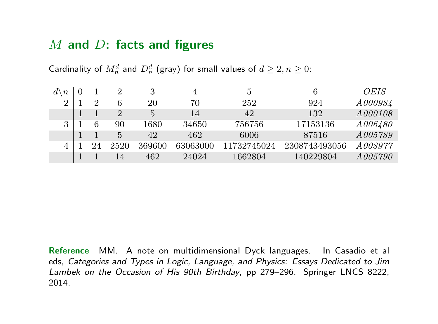### $M$  and  $D$ : facts and figures

Cardinality of  $M_n^d$  and  $D_n^d$  (gray) for small values of  $d\geq 2, n\geq 0$ :

| \ $\it n$ |    |                |        |          | 5           |               | OEIS           |
|-----------|----|----------------|--------|----------|-------------|---------------|----------------|
| 2         | 2  |                | 20     | 70       | 252         | 924           | A000984        |
|           |    | $\overline{2}$ | 5      | 14       | 42          | 132           | A000108        |
| 3         | 6  | 90             | 1680   | 34650    | 756756      | 17153136      | A006480        |
|           |    | 5              | 42     | 462      | 6006        | 87516         | <i>A005789</i> |
|           | 24 | 2520           | 369600 | 63063000 | 11732745024 | 2308743493056 | A008977        |
|           |    | 14             | 462    | 24024    | 1662804     | 140229804     | A005790        |

Reference MM. A note on multidimensional Dyck languages. In Casadio et al eds, Categories and Types in Logic, Language, and Physics: Essays Dedicated to Jim Lambek on the Occasion of His 90th Birthday, pp 279–296. Springer LNCS 8222, 2014.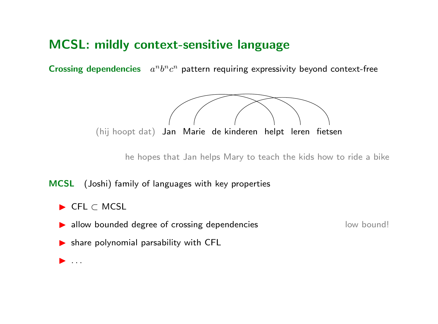### MCSL: mildly context-sensitive language

Crossing dependencies  $a^n b^n c^n$  pattern requiring expressivity beyond context-free



he hopes that Jan helps Mary to teach the kids how to ride a bike

MCSL (Joshi) family of languages with key properties

- **I** CFL ⊂ MCSL
- **In allow bounded degree of crossing dependencies** low bound!

- $\blacktriangleright$  share polynomial parsability with CFL
- $\blacktriangleright$  ...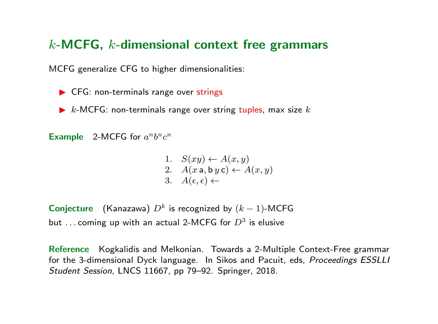### $k$ -MCFG,  $k$ -dimensional context free grammars

MCFG generalize CFG to higher dimensionalities:

- $\blacktriangleright$  CFG: non-terminals range over strings
- $\triangleright$  k-MCFG: non-terminals range over string tuples, max size k

Example 2-MCFG for  $a^nb^nc^n$ 

1. 
$$
S(xy) \leftarrow A(x, y)
$$
  
\n2.  $A(x \textbf{a}, \textbf{b} y \textbf{c}) \leftarrow A(x, y)$   
\n3.  $A(\epsilon, \epsilon) \leftarrow$ 

**Conjecture** (Kanazawa)  $D^k$  is recognized by  $(k-1)$ -MCFG but ... coming up with an actual 2-MCFG for  $D^3$  is elusive

Reference Kogkalidis and Melkonian. Towards a 2-Multiple Context-Free grammar for the 3-dimensional Dyck language. In Sikos and Pacuit, eds, Proceedings ESSLLI Student Session, LNCS 11667, pp 79–92. Springer, 2018.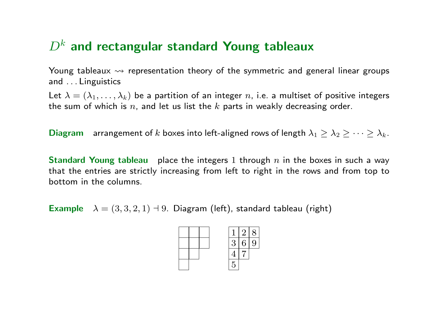### $D<sup>k</sup>$  and rectangular standard Young tableaux

Young tableaux  $\rightsquigarrow$  representation theory of the symmetric and general linear groups and . . . Linguistics

Let  $\lambda = (\lambda_1, \ldots, \lambda_k)$  be a partition of an integer n, i.e. a multiset of positive integers the sum of which is  $n$ , and let us list the  $k$  parts in weakly decreasing order.

Diagram arrangement of k boxes into left-aligned rows of length  $\lambda_1 \geq \lambda_2 \geq \cdots \geq \lambda_k$ .

**Standard Young tableau** place the integers 1 through n in the boxes in such a way that the entries are strictly increasing from left to right in the rows and from top to bottom in the columns.

Example  $\lambda = (3, 3, 2, 1)$  + 9. Diagram (left), standard tableau (right)

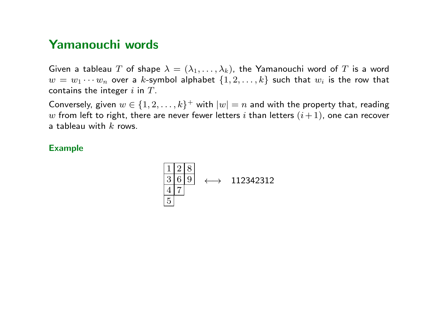### Yamanouchi words

Given a tableau T of shape  $\lambda = (\lambda_1, \ldots, \lambda_k)$ , the Yamanouchi word of T is a word  $w = w_1 \cdots w_n$  over a k-symbol alphabet  $\{1, 2, \ldots, k\}$  such that  $w_i$  is the row that contains the integer  $i$  in  $T$ .

Conversely, given  $w \in \{1, 2, ..., k\}^+$  with  $|w| = n$  and with the property that, reading w from left to right, there are never fewer letters i than letters  $(i+1)$ , one can recover a tableau with  $k$  rows.

#### Example

$$
\begin{array}{|c|c|c|}\n\hline\n1 & 2 & 8 \\
\hline\n3 & 6 & 9 \\
\hline\n4 & 7 \\
\hline\n5\n\end{array} \longleftrightarrow 112342312
$$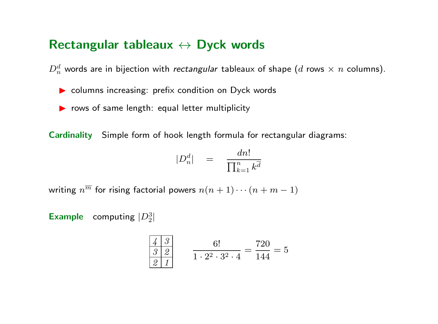#### Rectangular tableaux  $\leftrightarrow$  Dyck words

 $D_n^d$  words are in bijection with *rectangular* tableaux of shape  $(d$  rows  $\times$   $n$  columns).

- $\triangleright$  columns increasing: prefix condition on Dyck words
- $\triangleright$  rows of same length: equal letter multiplicity

Cardinality Simple form of hook length formula for rectangular diagrams:

$$
|D_n^d| = \frac{dn!}{\prod_{k=1}^n k^{\overline{d}}}
$$

writing  $n^{\overline{m}}$  for rising factorial powers  $n(n + 1) \cdots (n + m - 1)$ 

**Example** computing  $|D_2^3|$ 

$$
\begin{array}{c|cc}\n\frac{4}{3} & \frac{3}{2} \\
\hline\n\frac{3}{2} & \frac{1}{1 \cdot 2^2 \cdot 3^2 \cdot 4} = \frac{720}{144} = 5\n\end{array}
$$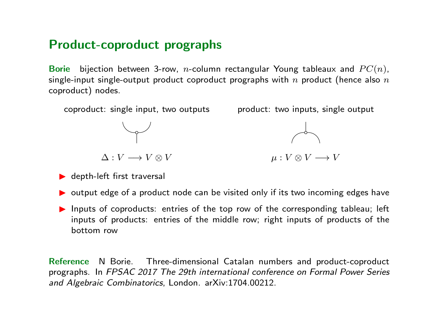### Product-coproduct prographs

Borie bijection between 3-row, *n*-column rectangular Young tableaux and  $PC(n)$ , single-input single-output product coproduct prographs with  $n$  product (hence also  $n$ coproduct) nodes.



- $\blacktriangleright$  depth-left first traversal
- $\triangleright$  output edge of a product node can be visited only if its two incoming edges have
- Inputs of coproducts: entries of the top row of the corresponding tableau; left inputs of products: entries of the middle row; right inputs of products of the bottom row

Reference N Borie. Three-dimensional Catalan numbers and product-coproduct prographs. In FPSAC 2017 The 29th international conference on Formal Power Series and Algebraic Combinatorics, London. arXiv:1704.00212.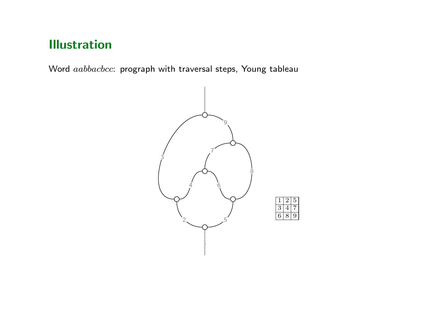## Illustration

Word aabbacbcc: prograph with traversal steps, Young tableau

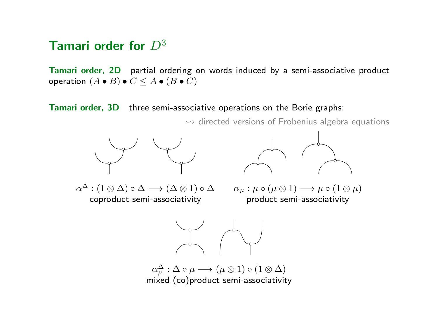### Tamari order for  $D^3$

Tamari order, 2D partial ordering on words induced by a semi-associative product operation  $(A \bullet B) \bullet C \leq A \bullet (B \bullet C)$ 

Tamari order, 3D three semi-associative operations on the Borie graphs:

 $\rightsquigarrow$  directed versions of Frobenius algebra equations









 $\alpha_{\mu}^{\Delta}:\Delta\circ\mu\longrightarrow(\mu\otimes 1)\circ(1\otimes\Delta)$ mixed (co)product semi-associativity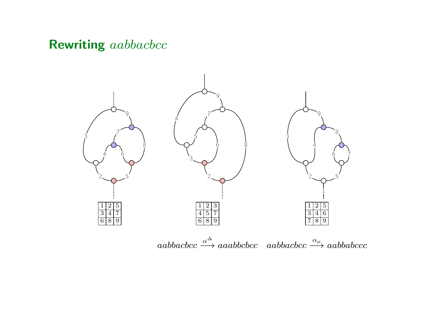### Rewriting *aabbacbcc*

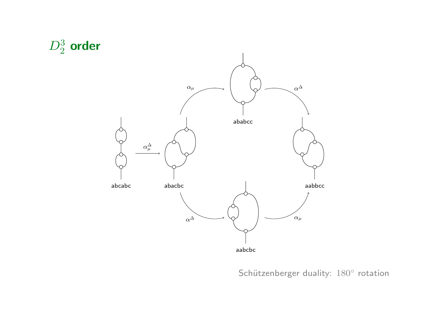

Schützenberger duality: 180° rotation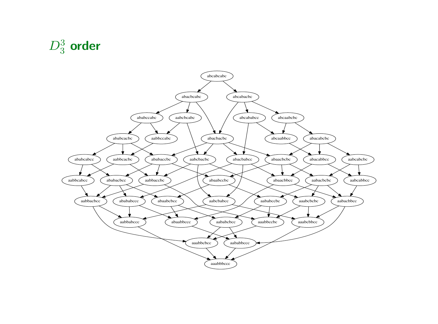

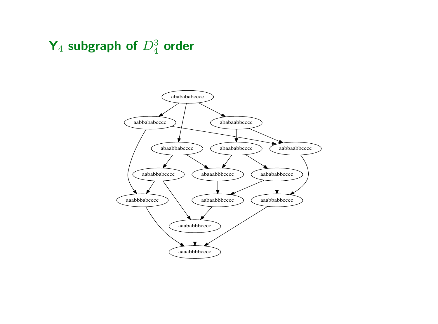# $\mathsf{Y}_4$  subgraph of  $D_4^3$  order

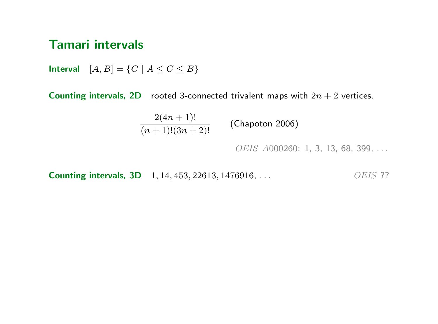#### Tamari intervals

Interval  $[A, B] = \{C \mid A \le C \le B\}$ 

Counting intervals, 2D rooted 3-connected trivalent maps with  $2n + 2$  vertices.

 $\frac{2(4n+1)!}{(n+1)!(3n+2)!}$  (Chapoton 2006)

OEIS A000260: 1, 3, 13, 68, 399, ...

**Counting intervals, 3D** 1, 14, 453, 22613, 1476916, ... *OEIS* ??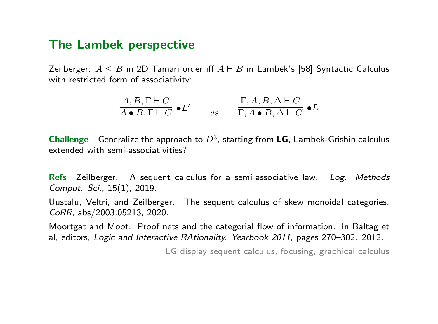#### The Lambek perspective

Zeilberger:  $A \leq B$  in 2D Tamari order iff  $A \vdash B$  in Lambek's [58] Syntactic Calculus with restricted form of associativity:

$$
\frac{A, B, \Gamma \vdash C}{A \bullet B, \Gamma \vdash C} \bullet L' \qquad vs \qquad \frac{\Gamma, A, B, \Delta \vdash C}{\Gamma, A \bullet B, \Delta \vdash C} \bullet L
$$

**Challenge** Generalize the approach to  $D^3$ , starting from LG, Lambek-Grishin calculus extended with semi-associativities?

Refs Zeilberger. A sequent calculus for a semi-associative law. Log. Methods Comput. Sci., 15(1), 2019.

Uustalu, Veltri, and Zeilberger. The sequent calculus of skew monoidal categories. CoRR, abs/2003.05213, 2020.

Moortgat and Moot. Proof nets and the categorial flow of information. In Baltag et al, editors, Logic and Interactive RAtionality. Yearbook 2011, pages 270–302. 2012.

LG display sequent calculus, focusing, graphical calculus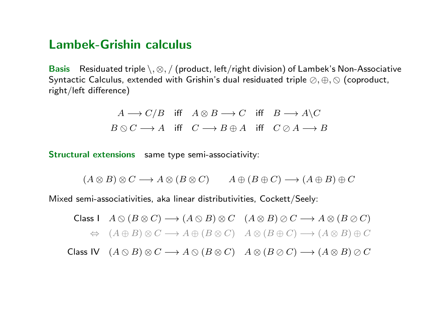### Lambek-Grishin calculus

Basis Residuated triple  $\setminus$ ,  $\otimes$ , / (product, left/right division) of Lambek's Non-Associative Syntactic Calculus, extended with Grishin's dual residuated triple  $\oslash, \oplus, \oslash$  (coproduct, right/left difference)

$$
A \longrightarrow C/B \quad \text{iff} \quad A \otimes B \longrightarrow C \quad \text{iff} \quad B \longrightarrow A \setminus C
$$
  

$$
B \otimes C \longrightarrow A \quad \text{iff} \quad C \longrightarrow B \oplus A \quad \text{iff} \quad C \otimes A \longrightarrow B
$$

Structural extensions same type semi-associativity:

 $(A \otimes B) \otimes C \longrightarrow A \otimes (B \otimes C)$   $A \oplus (B \oplus C) \longrightarrow (A \oplus B) \oplus C$ 

Mixed semi-associativities, aka linear distributivities, Cockett/Seely:

Class I 
$$
A \otimes (B \otimes C) \longrightarrow (A \otimes B) \otimes C
$$
  $(A \otimes B) \otimes C \longrightarrow A \otimes (B \otimes C)$   
\n $\Leftrightarrow (A \oplus B) \otimes C \longrightarrow A \oplus (B \otimes C)$   $A \otimes (B \oplus C) \longrightarrow (A \otimes B) \oplus C$ 

Class IV  $(A \otimes B) \otimes C \longrightarrow A \otimes (B \otimes C)$   $A \otimes (B \otimes C) \longrightarrow (A \otimes B) \otimes C$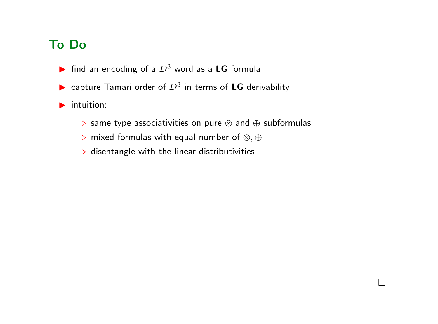### To Do

- ightharpoontal find an encoding of a  $D^3$  word as a LG formula
- ightharpoonup capture Tamari order of  $D^3$  in terms of LG derivability
- $\blacktriangleright$  intuition:
	- . same type associativities on pure ⊗ and ⊕ subformulas

 $\Box$ 

- **D** mixed formulas with equal number of ⊗, ⊕
- $\triangleright$  disentangle with the linear distributivities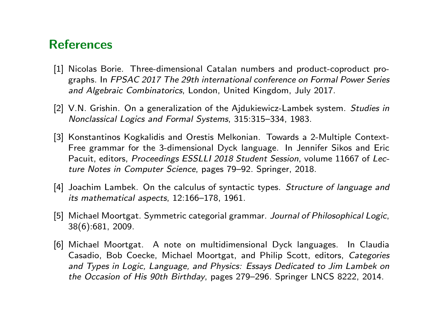### **References**

- [1] Nicolas Borie. Three-dimensional Catalan numbers and product-coproduct prographs. In FPSAC 2017 The 29th international conference on Formal Power Series and Algebraic Combinatorics, London, United Kingdom, July 2017.
- [2] V.N. Grishin. On a generalization of the Ajdukiewicz-Lambek system. Studies in Nonclassical Logics and Formal Systems, 315:315–334, 1983.
- [3] Konstantinos Kogkalidis and Orestis Melkonian. Towards a 2-Multiple Context-Free grammar for the 3-dimensional Dyck language. In Jennifer Sikos and Eric Pacuit, editors, Proceedings ESSLLI 2018 Student Session, volume 11667 of Lecture Notes in Computer Science, pages 79–92. Springer, 2018.
- [4] Joachim Lambek. On the calculus of syntactic types. Structure of language and its mathematical aspects, 12:166–178, 1961.
- [5] Michael Moortgat. Symmetric categorial grammar. Journal of Philosophical Logic, 38(6):681, 2009.
- [6] Michael Moortgat. A note on multidimensional Dyck languages. In Claudia Casadio, Bob Coecke, Michael Moortgat, and Philip Scott, editors, Categories and Types in Logic, Language, and Physics: Essays Dedicated to Jim Lambek on the Occasion of His 90th Birthday, pages 279–296. Springer LNCS 8222, 2014.